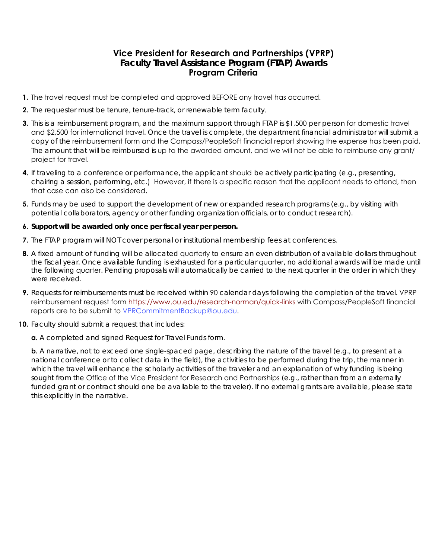## **Vice President for Research and Partnerships (VPRP) Faculty Travel Assistance Program (FTAP) Awards Program Criteria**

- **1.** The travel request must be completed and approved BEFORE any travel has occurred.
- **2.** The requester must be tenure, tenure-track, or renewable term faculty.
- **3.** This is a reimbursement program, and the maximum support through FTAP is \$1,500 per person for domestic travel and \$2,500 for international travel. Once the travel is complete, the department financial administrator will submit a copy of the reimbursement form and the Compass/PeopleSoft financial report showing the expense has been paid. The amount that will be reimbursed is up to the awarded amount, and we will not be able to reimburse any grant/ project for travel.
- **4.** If traveling to a conference or performance, the applicant should be actively participating (e.g., presenting, chairing a session, performing, etc.) However, if there is a specific reason that the applicant needs to attend, then that case can also be considered.
- **5.** Funds may be used to support the development of new or expanded research programs (e.g., by visiting with potential collaborators, agency or other funding organization officials, or to conduct research).

## **6. Support will be awarded only once per fiscal year per person.**

- **7.** The FTAP program will NOT cover personal or institutional membership fees at conferences.
- **8.** A fixed amount of funding will be allocated quarterly to ensure an even distribution of available dollars throughout the fiscal year. Once available funding is exhausted for a particular quarter, no additional awards will be made until the following quarter. Pending proposals will automatically be carried to the next quarter in the order in which they were received.
- **9.** Requests for reimbursements must be received within 90 calendar days following the completion of the travel. VPRP reimbursement request form [https://www.ou.edu/research-norman/quick-links wi](https://www.ou.edu/research-norman/quick-links)th Compass/PeopleSoft financial reports are to be submit to [VPRCommitmentBackup@ou.edu.](mailto:VPRCommitmentBackup@ou.edu)
- **10.** Faculty should submit a request that includes:

**a.** A completed and signed Request for Travel Funds form.

**b.** A narrative, not to exceed one single-spaced page, describing the nature of the travel (e.g., to present at a national conference or to collect data in the field), the activities to be performed during the trip, the manner in which the travel will enhance the scholarly activities of the traveler and an explanation of why funding is being sought from the Office of the Vice President for Research and Partnerships (e.g., rather than from an externally funded grant or contract should one be available to the traveler). If no external grants are available, please state this explicitly in the narrative.